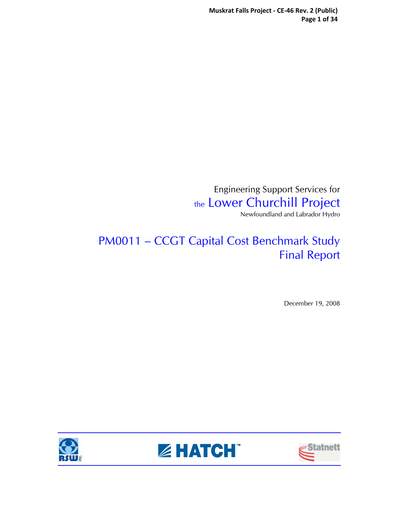Engineering Support Services for the Lower Churchill Project Newfoundland and Labrador Hydro

# PM0011 – CCGT Capital Cost Benchmark Study Final Report

December 19, 2008





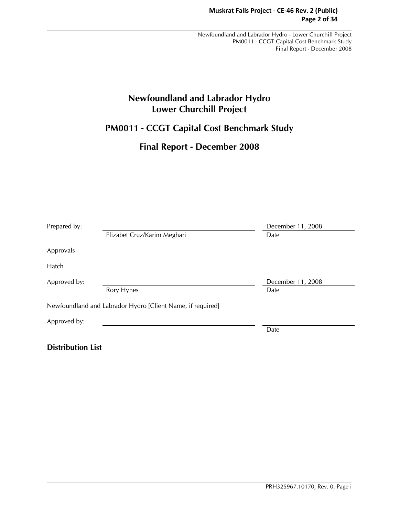# **Newfoundland and Labrador Hydro Lower Churchill Project**

# **PM0011 - CCGT Capital Cost Benchmark Study**

## **Final Report - December 2008**

| Prepared by: |                                                            | December 11, 2008 |
|--------------|------------------------------------------------------------|-------------------|
|              | Elizabet Cruz/Karim Meghari                                | Date              |
| Approvals    |                                                            |                   |
| Hatch        |                                                            |                   |
| Approved by: |                                                            | December 11, 2008 |
|              | Rory Hynes                                                 | Date              |
|              | Newfoundland and Labrador Hydro [Client Name, if required] |                   |
| Approved by: |                                                            |                   |
|              |                                                            | Date              |
|              |                                                            |                   |

**Distribution List**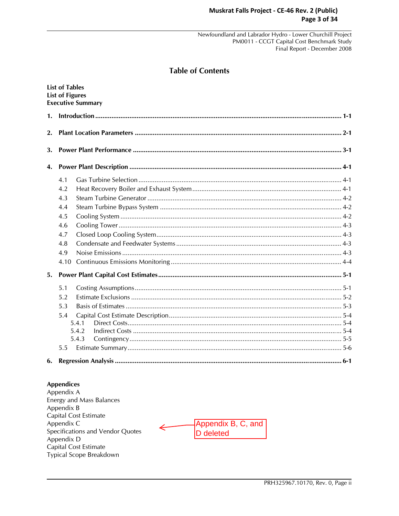## **Table of Contents**

|    | <b>List of Tables</b><br><b>List of Figures</b> | <b>Executive Summary</b> |  |
|----|-------------------------------------------------|--------------------------|--|
| 1. |                                                 |                          |  |
| 2. |                                                 |                          |  |
| 3. |                                                 |                          |  |
| 4. |                                                 |                          |  |
|    | 4.1                                             |                          |  |
|    | 4.2                                             |                          |  |
|    | 4.3                                             |                          |  |
|    | 4.4                                             |                          |  |
|    | 4.5                                             |                          |  |
|    | 4.6                                             |                          |  |
|    | 4.7                                             |                          |  |
|    | 4.8                                             |                          |  |
|    | 4.9                                             |                          |  |
|    | 4.10                                            |                          |  |
| 5. |                                                 |                          |  |
|    | 5.1                                             |                          |  |
|    | 5.2                                             |                          |  |
|    | 5.3                                             |                          |  |
|    | 5.4                                             |                          |  |
|    |                                                 | 5.4.1                    |  |
|    |                                                 | 5.4.2                    |  |
|    |                                                 | 5.4.3                    |  |
|    | 5.5                                             |                          |  |
| 6. |                                                 |                          |  |

#### **Appendices**

Appendix A Energy and Mass Balances Appendix B Capital Cost Estimate Appendix C Specifications and Vendor Quotes Appendix D Capital Cost Estimate Typical Scope Breakdown

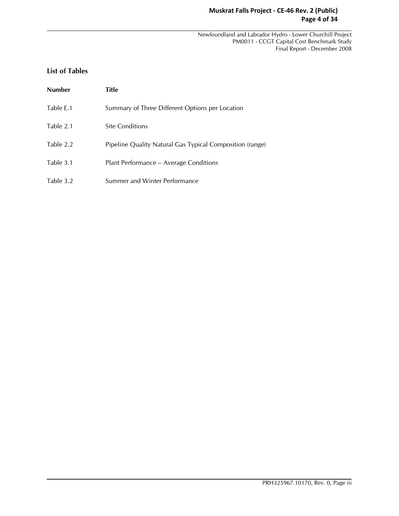## **Muskrat Falls Project - CE-46 Rev. 2 (Public) Page 4 of 34**

 Newfoundland and Labrador Hydro - Lower Churchill Project PM0011 - CCGT Capital Cost Benchmark Study Final Report - December 2008

## **List of Tables**

| <b>Number</b> | Title                                                    |
|---------------|----------------------------------------------------------|
| Table E.1     | Summary of Three Different Options per Location          |
| Table 2.1     | <b>Site Conditions</b>                                   |
| Table 2.2     | Pipeline Quality Natural Gas Typical Composition (range) |
| Table 3.1     | Plant Performance - Average Conditions                   |
| Table 3.2     | Summer and Winter Performance                            |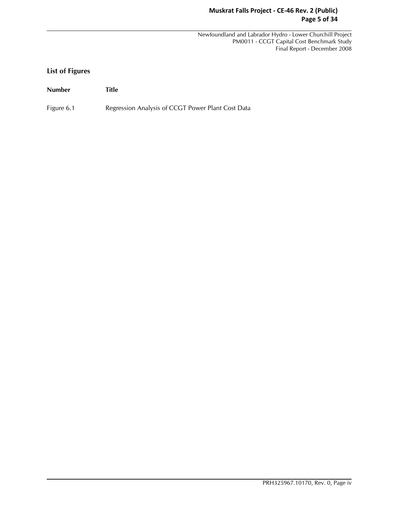## **Muskrat Falls Project - CE-46 Rev. 2 (Public) Page 5 of 34**

 Newfoundland and Labrador Hydro - Lower Churchill Project PM0011 - CCGT Capital Cost Benchmark Study Final Report - December 2008

## **List of Figures**

**Number Title** 

Figure 6.1 Regression Analysis of CCGT Power Plant Cost Data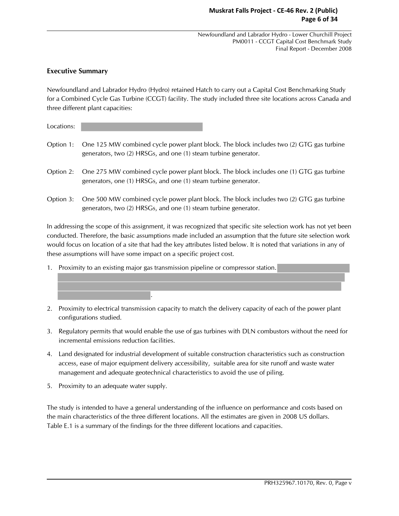## **Executive Summary**

Newfoundland and Labrador Hydro (Hydro) retained Hatch to carry out a Capital Cost Benchmarking Study for a Combined Cycle Gas Turbine (CCGT) facility. The study included three site locations across Canada and three different plant capacities:

Locations:

- Option 1: One 125 MW combined cycle power plant block. The block includes two (2) GTG gas turbine generators, two (2) HRSGs, and one (1) steam turbine generator.
- Option 2: One 275 MW combined cycle power plant block. The block includes one (1) GTG gas turbine generators, one (1) HRSGs, and one (1) steam turbine generator.
- Option 3: One 500 MW combined cycle power plant block. The block includes two (2) GTG gas turbine generators, two (2) HRSGs, and one (1) steam turbine generator.

In addressing the scope of this assignment, it was recognized that specific site selection work has not yet been conducted. Therefore, the basic assumptions made included an assumption that the future site selection work would focus on location of a site that had the key attributes listed below. It is noted that variations in any of these assumptions will have some impact on a specific project cost.

1. Proximity to an existing major gas transmission pipeline or compressor station.

.

- 2. Proximity to electrical transmission capacity to match the delivery capacity of each of the power plant configurations studied.
- 3. Regulatory permits that would enable the use of gas turbines with DLN combustors without the need for incremental emissions reduction facilities.
- 4. Land designated for industrial development of suitable construction characteristics such as construction access, ease of major equipment delivery accessibility, suitable area for site runoff and waste water management and adequate geotechnical characteristics to avoid the use of piling.
- 5. Proximity to an adequate water supply.

The study is intended to have a general understanding of the influence on performance and costs based on the main characteristics of the three different locations. All the estimates are given in 2008 US dollars. Table E.1 is a summary of the findings for the three different locations and capacities.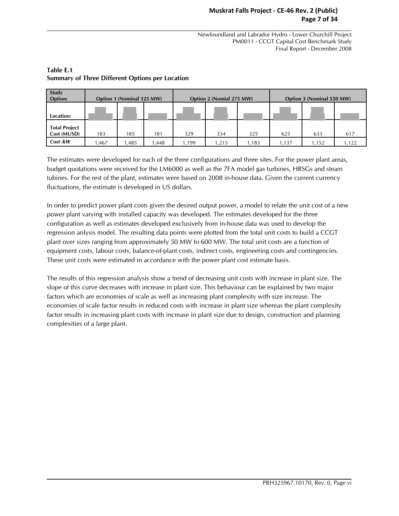## **Muskrat Falls Project - CE-46 Rev. 2 (Public) Page 7 of 34**

 Newfoundland and Labrador Hydro - Lower Churchill Project PM0011 - CCGT Capital Cost Benchmark Study Final Report - December 2008

| Study<br>Option:                    | Option 1 (Nominal 125 MW) |      |      | Option 2 (Nomial 275 MW) |      |       | Option 3 (Nominal 550 MW) |       |       |
|-------------------------------------|---------------------------|------|------|--------------------------|------|-------|---------------------------|-------|-------|
| Location:                           |                           |      |      |                          |      |       |                           |       |       |
| <b>Total Project</b><br>Cost (MUSD) | 183                       | 185  | 181  | 329                      | 334  | 325   | 625                       | 633   | 617   |
| Cost/KW                             | .467                      | ,485 | 448, | .199                     | .215 | 1,183 | 1.137                     | 1.152 | 1,122 |

## **Table E.1 Summary of Three Different Options per Location**

The estimates were developed for each of the three configurations and three sites. For the power plant areas, budget quotations were received for the LM6000 as well as the 7FA model gas turbines, HRSGs and steam tubines. For the rest of the plant, estimates were based on 2008 in-house data. Given the current currency fluctuations, the estimate is developed in US dollars.

In order to predict power plant costs given the desired output power, a model to relate the unit cost of a new power plant varying with installed capacity was developed. The estimates developed for the three configuration as well as estimates developed exclusively from in-house data was used to develop the regression anlysis model. The resulting data points were plotted from the total unit costs to build a CCGT plant over sizes ranging from approximately 50 MW to 600 MW. The total unit costs are a function of equipment costs, labour costs, balance-of-plant costs, indirect costs, engineering costs and contingencies. These unit costs were estimated in accordance with the power plant cost estimate basis.

The results of this regression analysis show a trend of decreasing unit costs with increase in plant size. The slope of this curve decreases with increase in plant size. This behaviour can be explained by two major factors which are economies of scale as well as increasing plant complexity with size increase. The economies of scale factor results in reduced costs with increase in plant size whereas the plant complexity factor results in increasing plant costs with increase in plant size due to design, construction and planning complexities of a large plant.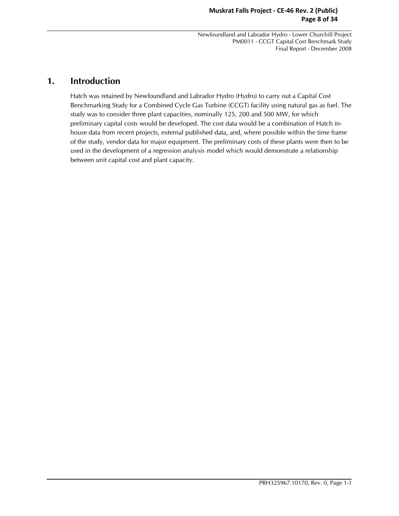### **Muskrat Falls Project - CE-46 Rev. 2 (Public) Page 8 of 34**

 Newfoundland and Labrador Hydro - Lower Churchill Project PM0011 - CCGT Capital Cost Benchmark Study Final Report - December 2008

## **1. Introduction**

Hatch was retained by Newfoundland and Labrador Hydro (Hydro) to carry out a Capital Cost Benchmarking Study for a Combined Cycle Gas Turbine (CCGT) facility using natural gas as fuel. The study was to consider three plant capacities, nominally 125, 200 and 500 MW, for which preliminary capital costs would be developed. The cost data would be a combination of Hatch inhouse data from recent projects, external published data, and, where possible within the time frame of the study, vendor data for major equipment. The preliminary costs of these plants were then to be used in the development of a regression analysis model which would demonstrate a relationship between unit capital cost and plant capacity.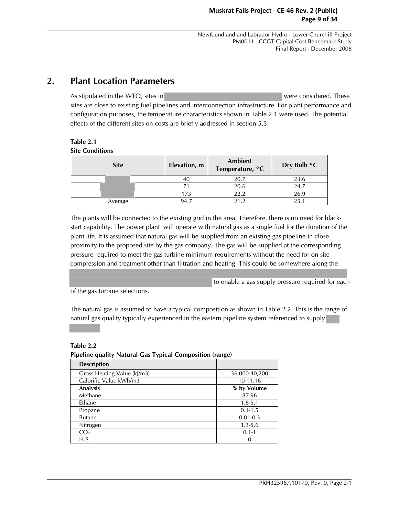# **2. Plant Location Parameters**

As stipulated in the WTO, sites in were considered. These sites are close to existing fuel pipelines and interconnection infrastructure. For plant performance and configuration purposes, the temperature characteristics shown in Table 2.1 were used. The potential effects of the different sites on costs are briefly addressed in section 5.3.

## **Table 2.1**

**Site Conditions** 

| <b>Site</b> | Elevation, m | Ambient<br>Temperature, °C | Dry Bulb $\degree$ C |  |
|-------------|--------------|----------------------------|----------------------|--|
|             | 40           | 20.7                       | 23.6                 |  |
|             |              | 20.6                       | 24.7                 |  |
|             | 173          | 22.2                       | 26.9                 |  |
| Average     | 94.7         | 21.2                       | 25.1                 |  |

The plants will be connected to the existing grid in the area. Therefore, there is no need for blackstart capability. The power plant will operate with natural gas as a single fuel for the duration of the plant life. It is assumed that natural gas will be supplied from an existing gas pipeline in close proximity to the proposed site by the gas company. The gas will be supplied at the corresponding pressure required to meet the gas turbine minimum requirements without the need for on-site compression and treatment other than filtration and heating. This could be somewhere along the

to enable a gas supply pressure required for each

of the gas turbine selections.

The natural gas is assumed to have a typical composition as shown in Table 2.2. This is the range of natural gas quality typically experienced in the eastern pipeline system referenced to supply

**Table 2.2** 

#### **Pipeline quality Natural Gas Typical Composition (range)**

| <b>Description</b>          |               |
|-----------------------------|---------------|
| Gross Heating Value (kJ/m3) | 36,000-40,200 |
| Calorific Value kWh/m3      | 10-11.16      |
| Analysis                    | % by Volume   |
| Methane                     | 87-96         |
| Ethane                      | $1.8 - 5.1$   |
| Propane                     | $0.1 - 1.5$   |
| <b>Butane</b>               | $0.01 - 0.3$  |
| Nitrogen                    | $1.3 - 5.6$   |
| CO <sub>2</sub>             | $0.1 - 1$     |
| H <sub>2</sub> S            | 0             |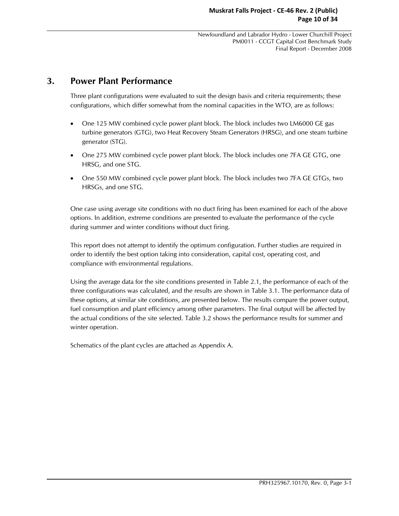## **3. Power Plant Performance**

Three plant configurations were evaluated to suit the design basis and criteria requirements; these configurations, which differ somewhat from the nominal capacities in the WTO, are as follows:

- One 125 MW combined cycle power plant block. The block includes two LM6000 GE gas turbine generators (GTG), two Heat Recovery Steam Generators (HRSG), and one steam turbine generator (STG).
- One 275 MW combined cycle power plant block. The block includes one 7FA GE GTG, one HRSG, and one STG.
- One 550 MW combined cycle power plant block. The block includes two 7FA GE GTGs, two HRSGs, and one STG.

One case using average site conditions with no duct firing has been examined for each of the above options. In addition, extreme conditions are presented to evaluate the performance of the cycle during summer and winter conditions without duct firing.

This report does not attempt to identify the optimum configuration. Further studies are required in order to identify the best option taking into consideration, capital cost, operating cost, and compliance with environmental regulations.

Using the average data for the site conditions presented in Table 2.1, the performance of each of the three configurations was calculated, and the results are shown in Table 3.1. The performance data of these options, at similar site conditions, are presented below. The results compare the power output, fuel consumption and plant efficiency among other parameters. The final output will be affected by the actual conditions of the site selected. Table 3.2 shows the performance results for summer and winter operation.

Schematics of the plant cycles are attached as Appendix A.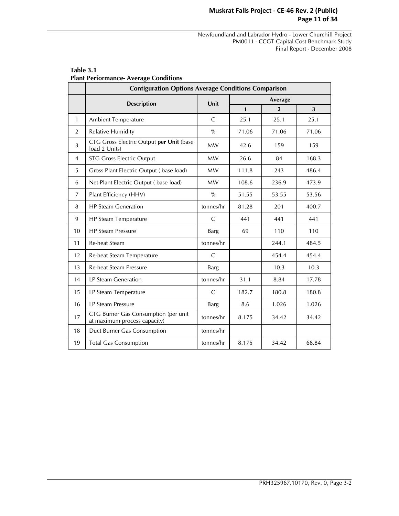## **Muskrat Falls Project - CE-46 Rev. 2 (Public) Page 11 of 34**

 Newfoundland and Labrador Hydro - Lower Churchill Project PM0011 - CCGT Capital Cost Benchmark Study Final Report - December 2008

|                | <b>Configuration Options Average Conditions Comparison</b>           |               |              |                |       |  |  |  |  |  |
|----------------|----------------------------------------------------------------------|---------------|--------------|----------------|-------|--|--|--|--|--|
|                | <b>Description</b>                                                   | Unit          |              | Average        |       |  |  |  |  |  |
|                |                                                                      |               | $\mathbf{1}$ | $\overline{2}$ | 3     |  |  |  |  |  |
| $\mathbf{1}$   | Ambient Temperature                                                  | $\mathsf{C}$  | 25.1         | 25.1           | 25.1  |  |  |  |  |  |
| 2              | <b>Relative Humidity</b>                                             | $\frac{0}{0}$ | 71.06        | 71.06          | 71.06 |  |  |  |  |  |
| 3              | CTG Gross Electric Output per Unit (base<br>load 2 Units)            | <b>MW</b>     | 42.6         | 159            | 159   |  |  |  |  |  |
| 4              | <b>STG Gross Electric Output</b>                                     | <b>MW</b>     | 26.6         | 84             | 168.3 |  |  |  |  |  |
| 5              | Gross Plant Electric Output (base load)                              | <b>MW</b>     | 111.8        | 243            | 486.4 |  |  |  |  |  |
| 6              | Net Plant Electric Output (base load)                                | <b>MW</b>     | 108.6        | 236.9          | 473.9 |  |  |  |  |  |
| $\overline{7}$ | Plant Efficiency (HHV)                                               | $\frac{9}{6}$ | 51.55        | 53.55          | 53.56 |  |  |  |  |  |
| 8              | <b>HP Steam Generation</b>                                           | tonnes/hr     | 81.28        | 201            | 400.7 |  |  |  |  |  |
| 9              | HP Steam Temperature                                                 | $\mathsf{C}$  | 441          | 441            | 441   |  |  |  |  |  |
| 10             | <b>HP Steam Pressure</b>                                             | <b>Barg</b>   | 69           | 110            | 110   |  |  |  |  |  |
| 11             | <b>Re-heat Steam</b>                                                 | tonnes/hr     |              | 244.1          | 484.5 |  |  |  |  |  |
| 12             | Re-heat Steam Temperature                                            | $\mathsf{C}$  |              | 454.4          | 454.4 |  |  |  |  |  |
| 13             | <b>Re-heat Steam Pressure</b>                                        | <b>Barg</b>   |              | 10.3           | 10.3  |  |  |  |  |  |
| 14             | <b>LP Steam Generation</b>                                           | tonnes/hr     | 31.1         | 8.84           | 17.78 |  |  |  |  |  |
| 15             | LP Steam Temperature                                                 | $\mathsf{C}$  | 182.7        | 180.8          | 180.8 |  |  |  |  |  |
| 16             | <b>LP Steam Pressure</b>                                             | <b>Barg</b>   | 8.6          | 1.026          | 1.026 |  |  |  |  |  |
| 17             | CTG Burner Gas Consumption (per unit<br>at maximum process capacity) | tonnes/hr     | 8.175        | 34.42          | 34.42 |  |  |  |  |  |
| 18             | Duct Burner Gas Consumption                                          | tonnes/hr     |              |                |       |  |  |  |  |  |
| 19             | <b>Total Gas Consumption</b>                                         | tonnes/hr     | 8.175        | 34.42          | 68.84 |  |  |  |  |  |

#### **Table 3.1 Plant Performance- Average Conditions**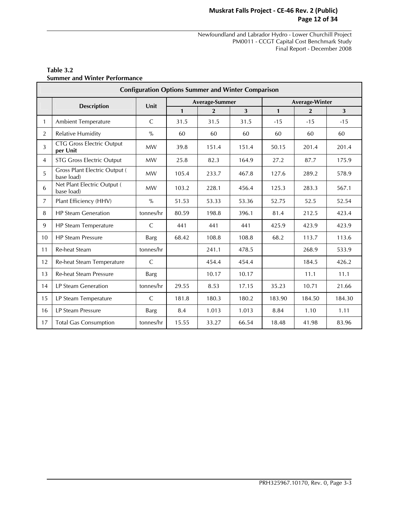## **Muskrat Falls Project - CE-46 Rev. 2 (Public) Page 12 of 34**

 Newfoundland and Labrador Hydro - Lower Churchill Project PM0011 - CCGT Capital Cost Benchmark Study Final Report - December 2008

|                | <b>Configuration Options Summer and Winter Comparison</b> |              |              |                |                         |                       |                |        |  |  |  |  |
|----------------|-----------------------------------------------------------|--------------|--------------|----------------|-------------------------|-----------------------|----------------|--------|--|--|--|--|
|                | <b>Description</b>                                        | Unit         |              | Average-Summer |                         | <b>Average-Winter</b> |                |        |  |  |  |  |
|                |                                                           |              | $\mathbf{1}$ | $\overline{2}$ | $\overline{\mathbf{3}}$ | $\mathbf{1}$          | $\overline{2}$ | 3      |  |  |  |  |
| $\mathbf{1}$   | <b>Ambient Temperature</b>                                | C            | 31.5         | 31.5           | 31.5                    | $-15$                 | $-15$          | $-15$  |  |  |  |  |
| 2              | <b>Relative Humidity</b>                                  | $\%$         | 60           | 60             | 60                      | 60                    | 60             | 60     |  |  |  |  |
| 3              | <b>CTG Gross Electric Output</b><br>per Unit              | <b>MW</b>    | 39.8         | 151.4          | 151.4                   | 50.15                 | 201.4          | 201.4  |  |  |  |  |
| $\overline{4}$ | <b>STG Gross Electric Output</b>                          | <b>MW</b>    | 25.8         | 82.3           | 164.9                   | 27.2                  | 87.7           | 175.9  |  |  |  |  |
| 5              | <b>Gross Plant Electric Output (</b><br>base load)        | <b>MW</b>    | 105.4        | 233.7          | 467.8                   | 127.6                 | 289.2          | 578.9  |  |  |  |  |
| 6              | Net Plant Electric Output (<br>base load)                 | <b>MW</b>    | 103.2        | 228.1          | 456.4                   | 125.3                 | 283.3          | 567.1  |  |  |  |  |
| $\overline{7}$ | Plant Efficiency (HHV)                                    | $\%$         | 51.53        | 53.33          | 53.36                   | 52.75                 | 52.5           | 52.54  |  |  |  |  |
| 8              | <b>HP Steam Generation</b>                                | tonnes/hr    | 80.59        | 198.8          | 396.1                   | 81.4                  | 212.5          | 423.4  |  |  |  |  |
| 9              | HP Steam Temperature                                      | C            | 441          | 441            | 441                     | 425.9                 | 423.9          | 423.9  |  |  |  |  |
| 10             | <b>HP Steam Pressure</b>                                  | <b>Barg</b>  | 68.42        | 108.8          | 108.8                   | 68.2                  | 113.7          | 113.6  |  |  |  |  |
| 11             | Re-heat Steam                                             | tonnes/hr    |              | 241.1          | 478.5                   |                       | 268.9          | 533.9  |  |  |  |  |
| 12             | Re-heat Steam Temperature                                 | $\mathsf{C}$ |              | 454.4          | 454.4                   |                       | 184.5          | 426.2  |  |  |  |  |
| 13             | <b>Re-heat Steam Pressure</b>                             | <b>Barg</b>  |              | 10.17          | 10.17                   |                       | 11.1           | 11.1   |  |  |  |  |
| 14             | <b>LP Steam Generation</b>                                | tonnes/hr    | 29.55        | 8.53           | 17.15                   | 35.23                 | 10.71          | 21.66  |  |  |  |  |
| 15             | LP Steam Temperature                                      | C            | 181.8        | 180.3          | 180.2                   | 183.90                | 184.50         | 184.30 |  |  |  |  |
| 16             | LP Steam Pressure                                         | <b>Barg</b>  | 8.4          | 1.013          | 1.013                   | 8.84                  | 1.10           | 1.11   |  |  |  |  |
| 17             | <b>Total Gas Consumption</b>                              | tonnes/hr    | 15.55        | 33.27          | 66.54                   | 18.48                 | 41.98          | 83.96  |  |  |  |  |

#### **Table 3.2 Summer and Winter Performance**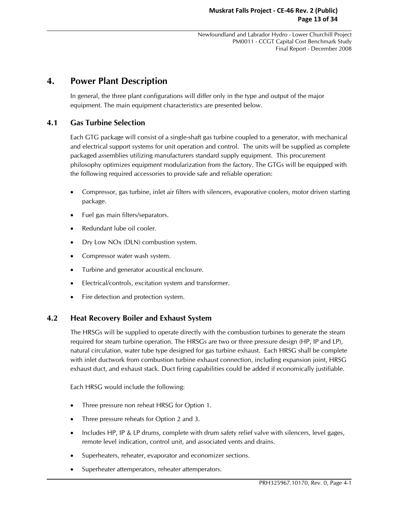## **4. Power Plant Description**

In general, the three plant configurations will differ only in the type and output of the major equipment. The main equipment characteristics are presented below.

## **4.1 Gas Turbine Selection**

Each GTG package will consist of a single-shaft gas turbine coupled to a generator, with mechanical and electrical support systems for unit operation and control. The units will be supplied as complete packaged assemblies utilizing manufacturers standard supply equipment. This procurement philosophy optimizes equipment modularization from the factory. The GTGs will be equipped with the following required accessories to provide safe and reliable operation:

- Compressor, gas turbine, inlet air filters with silencers, evaporative coolers, motor driven starting package.
- Fuel gas main filters/separators.
- Redundant lube oil cooler.
- Dry Low NOx (DLN) combustion system.
- Compressor water wash system.
- Turbine and generator acoustical enclosure.
- Electrical/controls, excitation system and transformer.
- Fire detection and protection system.

## **4.2 Heat Recovery Boiler and Exhaust System**

The HRSGs will be supplied to operate directly with the combustion turbines to generate the steam required for steam turbine operation. The HRSGs are two or three pressure design (HP, IP and LP), natural circulation, water tube type designed for gas turbine exhaust. Each HRSG shall be complete with inlet ductwork from combustion turbine exhaust connection, including expansion joint, HRSG exhaust duct, and exhaust stack. Duct firing capabilities could be added if economically justifiable.

Each HRSG would include the following:

- Three pressure non reheat HRSG for Option 1.
- Three pressure reheats for Option 2 and 3.
- Includes HP, IP & LP drums, complete with drum safety relief valve with silencers, level gages, remote level indication, control unit, and associated vents and drains.
- Superheaters, reheater, evaporator and economizer sections.
- Superheater attemperators, reheater attemperators.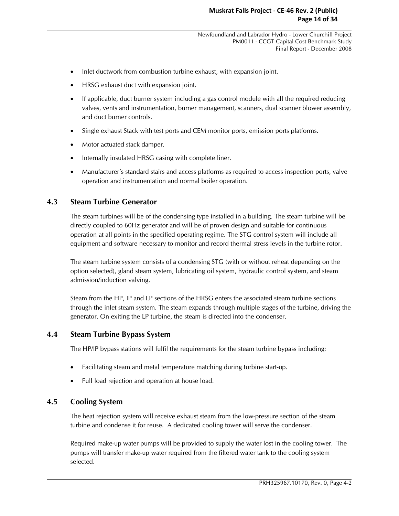- Inlet ductwork from combustion turbine exhaust, with expansion joint.
- HRSG exhaust duct with expansion joint.
- If applicable, duct burner system including a gas control module with all the required reducing valves, vents and instrumentation, burner management, scanners, dual scanner blower assembly, and duct burner controls.
- Single exhaust Stack with test ports and CEM monitor ports, emission ports platforms.
- Motor actuated stack damper.
- Internally insulated HRSG casing with complete liner.
- Manufacturer's standard stairs and access platforms as required to access inspection ports, valve operation and instrumentation and normal boiler operation.

## **4.3 Steam Turbine Generator**

The steam turbines will be of the condensing type installed in a building. The steam turbine will be directly coupled to 60Hz generator and will be of proven design and suitable for continuous operation at all points in the specified operating regime. The STG control system will include all equipment and software necessary to monitor and record thermal stress levels in the turbine rotor.

The steam turbine system consists of a condensing STG (with or without reheat depending on the option selected), gland steam system, lubricating oil system, hydraulic control system, and steam admission/induction valving.

Steam from the HP, IP and LP sections of the HRSG enters the associated steam turbine sections through the inlet steam system. The steam expands through multiple stages of the turbine, driving the generator. On exiting the LP turbine, the steam is directed into the condenser.

## **4.4 Steam Turbine Bypass System**

The HP/IP bypass stations will fulfil the requirements for the steam turbine bypass including:

- Facilitating steam and metal temperature matching during turbine start-up.
- Full load rejection and operation at house load.

## **4.5 Cooling System**

The heat rejection system will receive exhaust steam from the low-pressure section of the steam turbine and condense it for reuse. A dedicated cooling tower will serve the condenser.

Required make-up water pumps will be provided to supply the water lost in the cooling tower. The pumps will transfer make-up water required from the filtered water tank to the cooling system selected.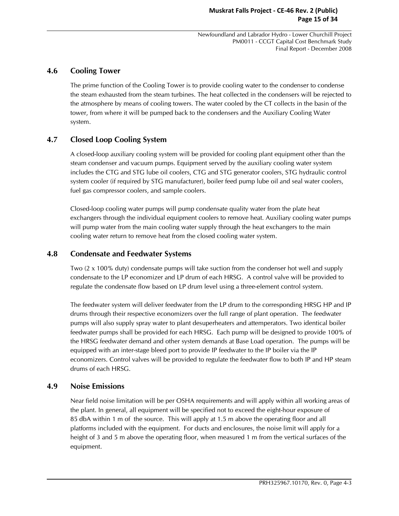## **4.6 Cooling Tower**

The prime function of the Cooling Tower is to provide cooling water to the condenser to condense the steam exhausted from the steam turbines. The heat collected in the condensers will be rejected to the atmosphere by means of cooling towers. The water cooled by the CT collects in the basin of the tower, from where it will be pumped back to the condensers and the Auxiliary Cooling Water system.

## **4.7 Closed Loop Cooling System**

A closed-loop auxiliary cooling system will be provided for cooling plant equipment other than the steam condenser and vacuum pumps. Equipment served by the auxiliary cooling water system includes the CTG and STG lube oil coolers, CTG and STG generator coolers, STG hydraulic control system cooler (if required by STG manufacturer), boiler feed pump lube oil and seal water coolers, fuel gas compressor coolers, and sample coolers.

Closed-loop cooling water pumps will pump condensate quality water from the plate heat exchangers through the individual equipment coolers to remove heat. Auxiliary cooling water pumps will pump water from the main cooling water supply through the heat exchangers to the main cooling water return to remove heat from the closed cooling water system.

## **4.8 Condensate and Feedwater Systems**

Two (2 x 100% duty) condensate pumps will take suction from the condenser hot well and supply condensate to the LP economizer and LP drum of each HRSG. A control valve will be provided to regulate the condensate flow based on LP drum level using a three-element control system.

The feedwater system will deliver feedwater from the LP drum to the corresponding HRSG HP and IP drums through their respective economizers over the full range of plant operation. The feedwater pumps will also supply spray water to plant desuperheaters and attemperators. Two identical boiler feedwater pumps shall be provided for each HRSG. Each pump will be designed to provide 100% of the HRSG feedwater demand and other system demands at Base Load operation. The pumps will be equipped with an inter-stage bleed port to provide IP feedwater to the IP boiler via the IP economizers. Control valves will be provided to regulate the feedwater flow to both IP and HP steam drums of each HRSG.

## **4.9 Noise Emissions**

Near field noise limitation will be per OSHA requirements and will apply within all working areas of the plant. In general, all equipment will be specified not to exceed the eight-hour exposure of 85 dbA within 1 m of the source. This will apply at 1.5 m above the operating floor and all platforms included with the equipment. For ducts and enclosures, the noise limit will apply for a height of 3 and 5 m above the operating floor, when measured 1 m from the vertical surfaces of the equipment.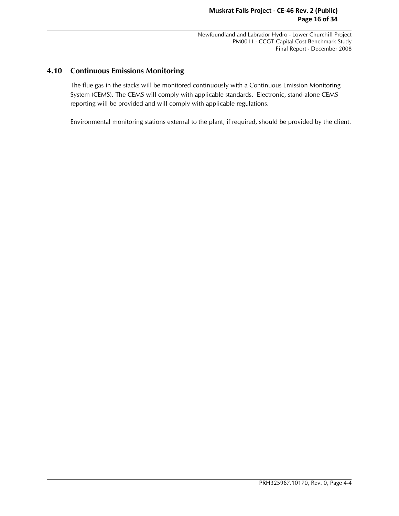## **4.10 Continuous Emissions Monitoring**

The flue gas in the stacks will be monitored continuously with a Continuous Emission Monitoring System (CEMS). The CEMS will comply with applicable standards. Electronic, stand-alone CEMS reporting will be provided and will comply with applicable regulations.

Environmental monitoring stations external to the plant, if required, should be provided by the client.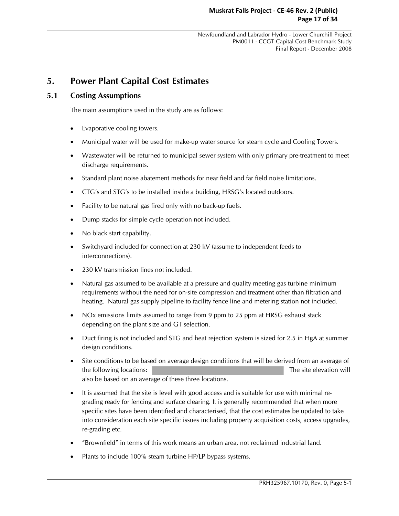# **5. Power Plant Capital Cost Estimates**

## **5.1 Costing Assumptions**

The main assumptions used in the study are as follows:

- Evaporative cooling towers.
- Municipal water will be used for make-up water source for steam cycle and Cooling Towers.
- Wastewater will be returned to municipal sewer system with only primary pre-treatment to meet discharge requirements.
- Standard plant noise abatement methods for near field and far field noise limitations.
- CTG's and STG's to be installed inside a building, HRSG's located outdoors.
- Facility to be natural gas fired only with no back-up fuels.
- Dump stacks for simple cycle operation not included.
- No black start capability.
- Switchyard included for connection at 230 kV (assume to independent feeds to interconnections).
- 230 kV transmission lines not included.
- Natural gas assumed to be available at a pressure and quality meeting gas turbine minimum requirements without the need for on-site compression and treatment other than filtration and heating. Natural gas supply pipeline to facility fence line and metering station not included.
- NOx emissions limits assumed to range from 9 ppm to 25 ppm at HRSG exhaust stack depending on the plant size and GT selection.
- Duct firing is not included and STG and heat rejection system is sized for 2.5 in HgA at summer design conditions.
- Site conditions to be based on average design conditions that will be derived from an average of the following locations: The site elevation will also be based on an average of these three locations.
- It is assumed that the site is level with good access and is suitable for use with minimal regrading ready for fencing and surface clearing. It is generally recommended that when more specific sites have been identified and characterised, that the cost estimates be updated to take into consideration each site specific issues including property acquisition costs, access upgrades, re-grading etc.
- "Brownfield" in terms of this work means an urban area, not reclaimed industrial land.
- Plants to include 100% steam turbine HP/LP bypass systems.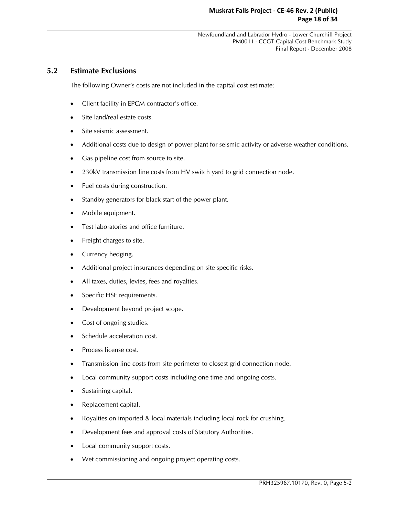## **5.2 Estimate Exclusions**

The following Owner's costs are not included in the capital cost estimate:

- Client facility in EPCM contractor's office.
- Site land/real estate costs.
- Site seismic assessment.
- Additional costs due to design of power plant for seismic activity or adverse weather conditions.
- Gas pipeline cost from source to site.
- 230kV transmission line costs from HV switch yard to grid connection node.
- Fuel costs during construction.
- Standby generators for black start of the power plant.
- Mobile equipment.
- Test laboratories and office furniture.
- Freight charges to site.
- Currency hedging.
- Additional project insurances depending on site specific risks.
- All taxes, duties, levies, fees and royalties.
- Specific HSE requirements.
- Development beyond project scope.
- Cost of ongoing studies.
- Schedule acceleration cost.
- Process license cost.
- Transmission line costs from site perimeter to closest grid connection node.
- Local community support costs including one time and ongoing costs.
- Sustaining capital.
- Replacement capital.
- Royalties on imported & local materials including local rock for crushing.
- Development fees and approval costs of Statutory Authorities.
- Local community support costs.
- Wet commissioning and ongoing project operating costs.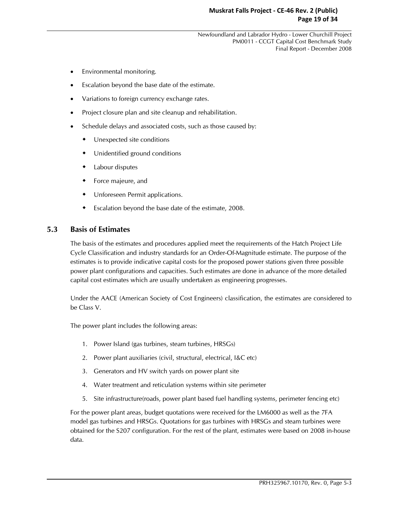- Environmental monitoring.
- Escalation beyond the base date of the estimate.
- Variations to foreign currency exchange rates.
- Project closure plan and site cleanup and rehabilitation.
- Schedule delays and associated costs, such as those caused by:
	- Unexpected site conditions
	- Unidentified ground conditions
	- Labour disputes
	- Force majeure, and
	- Unforeseen Permit applications.
	- Escalation beyond the base date of the estimate, 2008.

## **5.3 Basis of Estimates**

The basis of the estimates and procedures applied meet the requirements of the Hatch Project Life Cycle Classification and industry standards for an Order-Of-Magnitude estimate. The purpose of the estimates is to provide indicative capital costs for the proposed power stations given three possible power plant configurations and capacities. Such estimates are done in advance of the more detailed capital cost estimates which are usually undertaken as engineering progresses.

Under the AACE (American Society of Cost Engineers) classification, the estimates are considered to be Class V.

The power plant includes the following areas:

- 1. Power Island (gas turbines, steam turbines, HRSGs)
- 2. Power plant auxiliaries (civil, structural, electrical, I&C etc)
- 3. Generators and HV switch yards on power plant site
- 4. Water treatment and reticulation systems within site perimeter
- 5. Site infrastructure(roads, power plant based fuel handling systems, perimeter fencing etc)

For the power plant areas, budget quotations were received for the LM6000 as well as the 7FA model gas turbines and HRSGs. Quotations for gas turbines with HRSGs and steam turbines were obtained for the S207 configuration. For the rest of the plant, estimates were based on 2008 in-house data.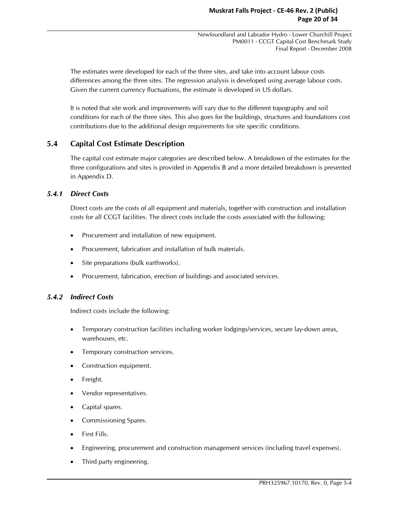The estimates were developed for each of the three sites, and take into account labour costs differences among the three sites. The regression analysis is developed using average labour costs. Given the current currency fluctuations, the estimate is developed in US dollars.

It is noted that site work and improvements will vary due to the different topography and soil conditions for each of the three sites. This also goes for the buildings, structures and foundations cost contributions due to the additional design requirements for site specific conditions.

## **5.4 Capital Cost Estimate Description**

The capital cost estimate major categories are described below. A breakdown of the estimates for the three configurations and sites is provided in Appendix B and a more detailed breakdown is presented in Appendix D.

## *5.4.1 Direct Costs*

Direct costs are the costs of all equipment and materials, together with construction and installation costs for all CCGT facilities. The direct costs include the costs associated with the following:

- Procurement and installation of new equipment.
- Procurement, fabrication and installation of bulk materials.
- Site preparations (bulk earthworks).
- Procurement, fabrication, erection of buildings and associated services.

#### *5.4.2 Indirect Costs*

Indirect costs include the following:

- Temporary construction facilities including worker lodgings/services, secure lay-down areas, warehouses, etc.
- Temporary construction services.
- Construction equipment.
- Freight.
- Vendor representatives.
- Capital spares.
- Commissioning Spares.
- First Fills.
- Engineering, procurement and construction management services (including travel expenses).
- Third party engineering.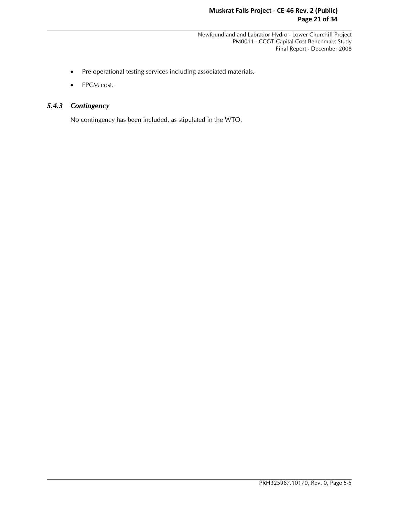- Pre-operational testing services including associated materials.
- EPCM cost.

## *5.4.3 Contingency*

No contingency has been included, as stipulated in the WTO.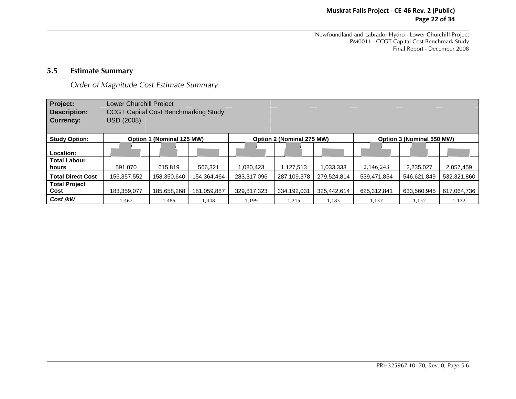## **Muskrat Falls Project - CE-46 Rev. 2 (Public) Page 22 of 34**

Newfoundland and Labrador Hydro - Lower Churchill Project PM0011 - CCGT Capital Cost Benchmark Study Final Report - December 2008

#### **5.5Estimate Summary**

*Order of Magnitude Cost Estimate Summary*

| Project:<br><b>Description:</b><br><b>Currency:</b> | Lower Churchill Project<br><b>CCGT Capital Cost Benchmarking Study</b><br>USD (2008) |                           |             |             |                           |             |             |                           |             |
|-----------------------------------------------------|--------------------------------------------------------------------------------------|---------------------------|-------------|-------------|---------------------------|-------------|-------------|---------------------------|-------------|
| <b>Study Option:</b>                                |                                                                                      | Option 1 (Nominal 125 MW) |             |             | Option 2 (Nominal 275 MW) |             |             | Option 3 (Nominal 550 MW) |             |
| Location:                                           |                                                                                      |                           |             |             |                           |             |             |                           |             |
| <b>Total Labour</b><br>hours                        | 591,070                                                                              | 615.819                   | 566,321     | 1,080,423   | 1,127,513                 | 1,033,333   | 2,146,243   | 2,235,027                 | 2,057,459   |
| <b>Total Direct Cost</b>                            | 156,357,552                                                                          | 158,350,640               | 154,364,464 | 283.317.096 | 287,109,378               | 279.524.814 | 539.471.854 | 546,621,849               | 532,321,860 |
| <b>Total Project</b><br>Cost                        | 183,359,077                                                                          | 185,658,268               | 181,059,887 | 329,817,323 | 334,192,031               | 325,442,614 | 625,312,841 | 633,560,945               | 617,064,736 |
| Cost/kW                                             | 1,467                                                                                | 1,485                     | 1,448       | 1,199       | 1,215                     | 1,183       | 1,137       | 1,152                     | 1,122       |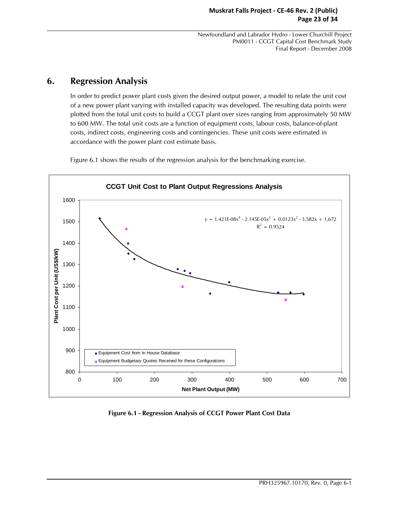## **6. Regression Analysis**

In order to predict power plant costs given the desired output power, a model to relate the unit cost of a new power plant varying with installed capacity was developed. The resulting data points were plotted from the total unit costs to build a CCGT plant over sizes ranging from approximately 50 MW to 600 MW. The total unit costs are a function of equipment costs, labour costs, balance-of-plant costs, indirect costs, engineering costs and contingencies. These unit costs were estimated in accordance with the power plant cost estimate basis.

Figure 6.1 shows the results of the regression analysis for the benchmarking exercise.



**Figure 6.1 - Regression Analysis of CCGT Power Plant Cost Data**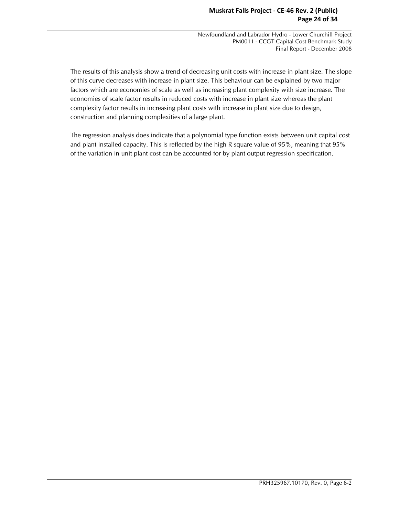The results of this analysis show a trend of decreasing unit costs with increase in plant size. The slope of this curve decreases with increase in plant size. This behaviour can be explained by two major factors which are economies of scale as well as increasing plant complexity with size increase. The economies of scale factor results in reduced costs with increase in plant size whereas the plant complexity factor results in increasing plant costs with increase in plant size due to design, construction and planning complexities of a large plant.

The regression analysis does indicate that a polynomial type function exists between unit capital cost and plant installed capacity. This is reflected by the high R square value of 95%, meaning that 95% of the variation in unit plant cost can be accounted for by plant output regression specification.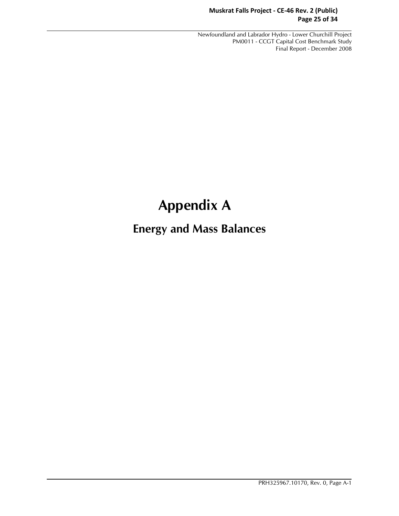### **Muskrat Falls Project - CE-46 Rev. 2 (Public) Page 25 of 34**

 Newfoundland and Labrador Hydro - Lower Churchill Project PM0011 - CCGT Capital Cost Benchmark Study Final Report - December 2008

# **Appendix A**

# **Energy and Mass Balances**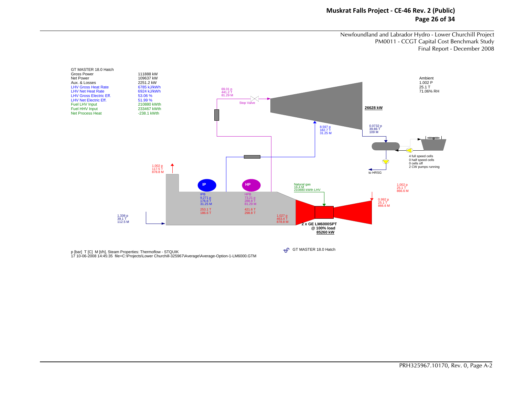#### **Muskrat Falls Project - CE-46 Rev. 2 (Public) Page 26 of 34**

Newfoundland and Labrador Hydro - Lower Churchill Project PM0011 - CCGT Capital Cost Benchmark Study Final Report - December 2008



p [bar] T [C] M [t/h], Steam Properties: Thermoflow - STQUIK<br>17 10-06-2008 14:45:35 file=C:\Projects\Lower Churchill-325967\Average\Average-Option-1-LM6000.GTM

**+C** GT MASTER 18.0 Hatch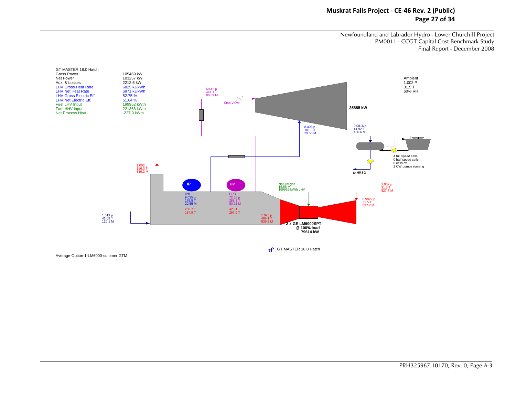#### **Muskrat Falls Project - CE-46 Rev. 2 (Public) Page 27 of 34**

Newfoundland and Labrador Hydro - Lower Churchill Project PM0011 - CCGT Capital Cost Benchmark Study Final Report - December 2008



GT MASTER 18.0 Hatch

Average-Option-1-LM6000-summer.GTM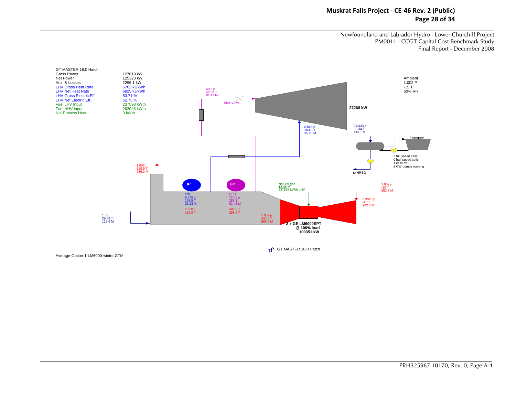#### **Muskrat Falls Project - CE-46 Rev. 2 (Public) Page 28 of 34**

Newfoundland and Labrador Hydro - Lower Churchill Project PM0011 - CCGT Capital Cost Benchmark Study Final Report - December 2008



GT MASTER 18.0 Hatch

Average-Option-1-LM6000-winter.GTM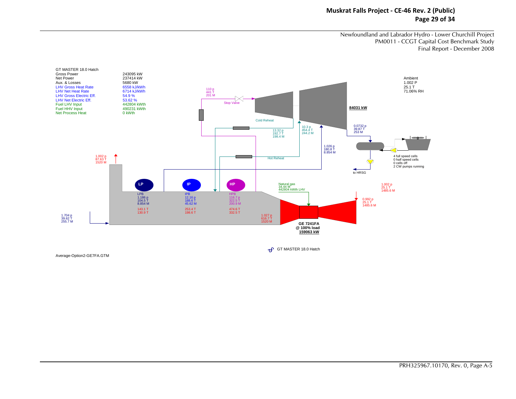#### **Muskrat Falls Project - CE-46 Rev. 2 (Public) Page 29 of 34**

Newfoundland and Labrador Hydro - Lower Churchill Project PM0011 - CCGT Capital Cost Benchmark Study Final Report - December 2008



GT MASTER 18.0 Hatch

Average-Option2-GE7FA.GTM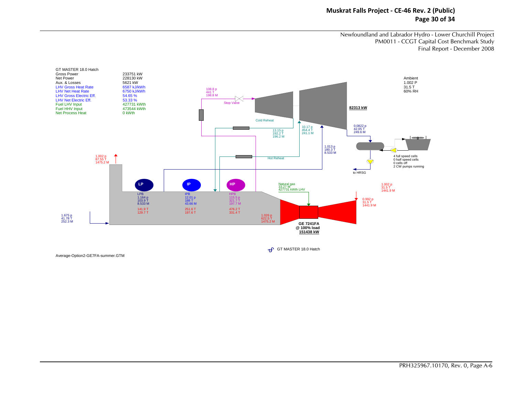#### **Muskrat Falls Project - CE-46 Rev. 2 (Public) Page 30 of 34**

Newfoundland and Labrador Hydro - Lower Churchill Project PM0011 - CCGT Capital Cost Benchmark Study Final Report - December 2008



GT MASTER 18.0 Hatch

Average-Option2-GE7FA-summer.GTM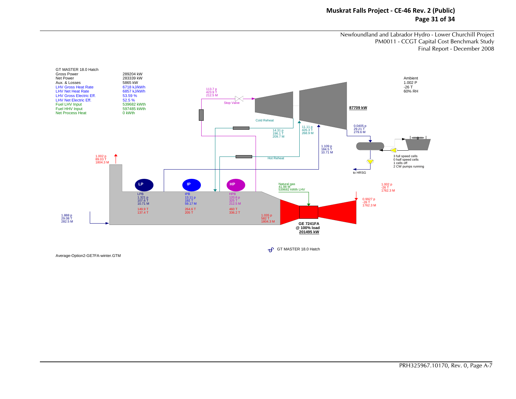#### **Muskrat Falls Project - CE-46 Rev. 2 (Public) Page 31 of 34**

Newfoundland and Labrador Hydro - Lower Churchill Project PM0011 - CCGT Capital Cost Benchmark Study Final Report - December 2008



GT MASTER 18.0 Hatch

Average-Option2-GE7FA-winter.GTM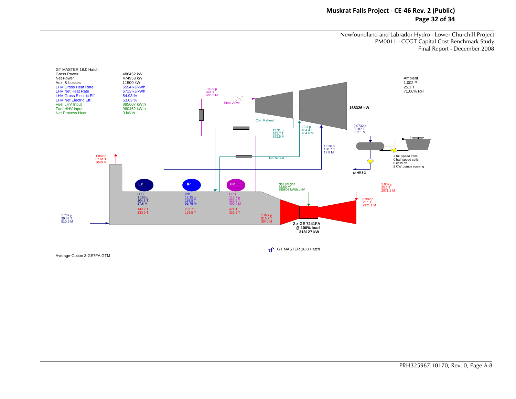#### **Muskrat Falls Project - CE-46 Rev. 2 (Public) Page 32 of 34**

Newfoundland and Labrador Hydro - Lower Churchill Project PM0011 - CCGT Capital Cost Benchmark Study Final Report - December 2008



GT MASTER 18.0 Hatch

Average-Option 3-GE7FA.GTM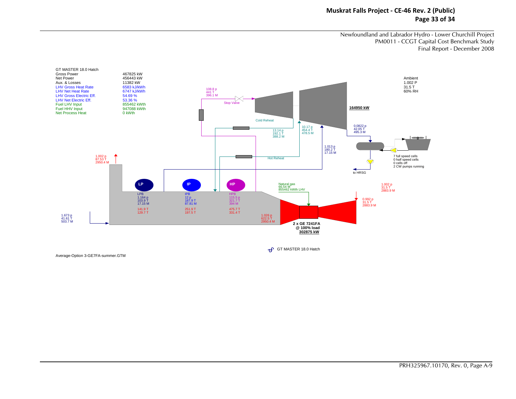#### **Muskrat Falls Project - CE-46 Rev. 2 (Public) Page 33 of 34**

Newfoundland and Labrador Hydro - Lower Churchill Project PM0011 - CCGT Capital Cost Benchmark Study Final Report - December 2008



GT MASTER 18.0 Hatch

Average-Option 3-GE7FA-summer.GTM